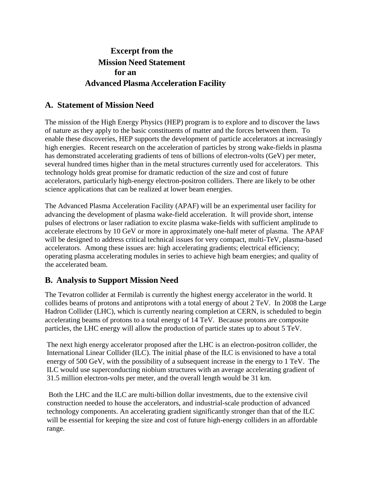# **Excerpt from the Mission Need Statement for an Advanced Plasma Acceleration Facility**

#### **A. Statement of Mission Need**

The mission of the High Energy Physics (HEP) program is to explore and to discover the laws of nature as they apply to the basic constituents of matter and the forces between them. To enable these discoveries, HEP supports the development of particle accelerators at increasingly high energies. Recent research on the acceleration of particles by strong wake-fields in plasma has demonstrated accelerating gradients of tens of billions of electron-volts (GeV) per meter, several hundred times higher than in the metal structures currently used for accelerators. This technology holds great promise for dramatic reduction of the size and cost of future accelerators, particularly high-energy electron-positron colliders. There are likely to be other science applications that can be realized at lower beam energies.

The Advanced Plasma Acceleration Facility (APAF) will be an experimental user facility for advancing the development of plasma wake-field acceleration. It will provide short, intense pulses of electrons or laser radiation to excite plasma wake-fields with sufficient amplitude to accelerate electrons by 10 GeV or more in approximately one-half meter of plasma. The APAF will be designed to address critical technical issues for very compact, multi-TeV, plasma-based accelerators. Among these issues are: high accelerating gradients; electrical efficiency; operating plasma accelerating modules in series to achieve high beam energies; and quality of the accelerated beam.

## **B. Analysis to Support Mission Need**

The Tevatron collider at Fermilab is currently the highest energy accelerator in the world. It collides beams of protons and antiprotons with a total energy of about 2 TeV. In 2008 the Large Hadron Collider (LHC), which is currently nearing completion at CERN, is scheduled to begin accelerating beams of protons to a total energy of 14 TeV. Because protons are composite particles, the LHC energy will allow the production of particle states up to about 5 TeV.

The next high energy accelerator proposed after the LHC is an electron-positron collider, the International Linear Collider (ILC). The initial phase of the ILC is envisioned to have a total energy of 500 GeV, with the possibility of a subsequent increase in the energy to 1 TeV. The ILC would use superconducting niobium structures with an average accelerating gradient of 31.5 million electron-volts per meter, and the overall length would be 31 km.

Both the LHC and the ILC are multi-billion dollar investments, due to the extensive civil construction needed to house the accelerators, and industrial-scale production of advanced technology components. An accelerating gradient significantly stronger than that of the ILC will be essential for keeping the size and cost of future high-energy colliders in an affordable range.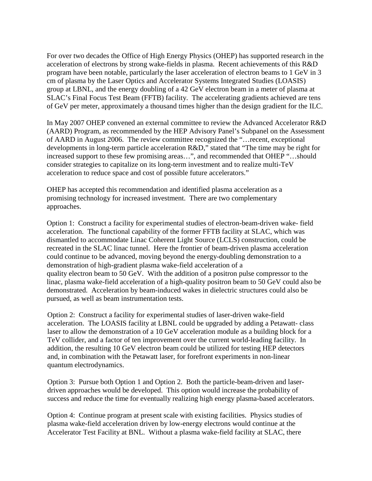For over two decades the Office of High Energy Physics (OHEP) has supported research in the acceleration of electrons by strong wake-fields in plasma. Recent achievements of this R&D program have been notable, particularly the laser acceleration of electron beams to 1 GeV in 3 cm of plasma by the Laser Optics and Accelerator Systems Integrated Studies (LOASIS) group at LBNL, and the energy doubling of a 42 GeV electron beam in a meter of plasma at SLAC's Final Focus Test Beam (FFTB) facility. The accelerating gradients achieved are tens of GeV per meter, approximately a thousand times higher than the design gradient for the ILC.

In May 2007 OHEP convened an external committee to review the Advanced Accelerator R&D (AARD) Program, as recommended by the HEP Advisory Panel's Subpanel on the Assessment of AARD in August 2006. The review committee recognized the "…recent, exceptional developments in long-term particle acceleration R&D," stated that "The time may be right for increased support to these few promising areas…", and recommended that OHEP "…should consider strategies to capitalize on its long-term investment and to realize multi-TeV acceleration to reduce space and cost of possible future accelerators."

OHEP has accepted this recommendation and identified plasma acceleration as a promising technology for increased investment. There are two complementary approaches.

Option 1: Construct a facility for experimental studies of electron-beam-driven wake- field acceleration. The functional capability of the former FFTB facility at SLAC, which was dismantled to accommodate Linac Coherent Light Source (LCLS) construction, could be recreated in the SLAC linac tunnel. Here the frontier of beam-driven plasma acceleration could continue to be advanced, moving beyond the energy-doubling demonstration to a demonstration of high-gradient plasma wake-field acceleration of a quality electron beam to 50 GeV. With the addition of a positron pulse compressor to the linac, plasma wake-field acceleration of a high-quality positron beam to 50 GeV could also be demonstrated. Acceleration by beam-induced wakes in dielectric structures could also be pursued, as well as beam instrumentation tests.

Option 2: Construct a facility for experimental studies of laser-driven wake-field acceleration. The LOASIS facility at LBNL could be upgraded by adding a Petawatt- class laser to allow the demonstration of a 10 GeV acceleration module as a building block for a TeV collider, and a factor of ten improvement over the current world-leading facility. In addition, the resulting 10 GeV electron beam could be utilized for testing HEP detectors and, in combination with the Petawatt laser, for forefront experiments in non-linear quantum electrodynamics.

Option 3: Pursue both Option 1 and Option 2. Both the particle-beam-driven and laserdriven approaches would be developed. This option would increase the probability of success and reduce the time for eventually realizing high energy plasma-based accelerators.

Option 4: Continue program at present scale with existing facilities. Physics studies of plasma wake-field acceleration driven by low-energy electrons would continue at the Accelerator Test Facility at BNL. Without a plasma wake-field facility at SLAC, there